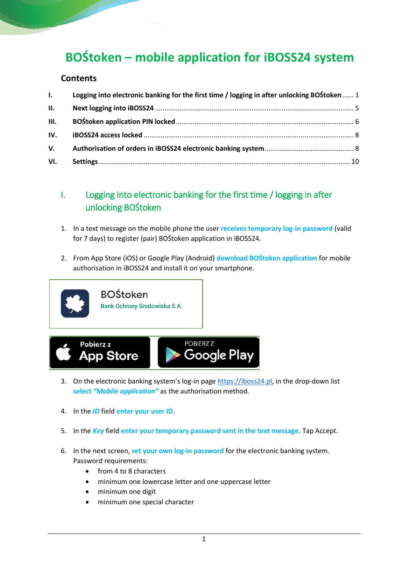# **BOŚtoken – mobile application for iBOSS24 system**

#### **Contents**

| $\mathbf{L}$ | Logging into electronic banking for the first time / logging in after unlocking BOStoken  1 |  |
|--------------|---------------------------------------------------------------------------------------------|--|
| II.          |                                                                                             |  |
| III.         |                                                                                             |  |
| IV.          |                                                                                             |  |
| V.           |                                                                                             |  |
| VI.          |                                                                                             |  |

# <span id="page-0-0"></span>I. Logging into electronic banking for the first time / logging in after unlocking BOŚtoken

- 1. In a text message on the mobile phone the user **receives temporary log-in password** (valid for 7 days) to register (pair) BOŚtoken application in iBOSS24.
- 2. From App Store (iOS) or Google Play (Android) **download BOŚtoken application** for mobile authorisation in iBOSS24 and install it on your smartphone.



- 3. On the electronic banking system's log-in page [https://iboss24.pl,](https://iboss24.pl/) in the drop-down list **select** *"Mobile application"* as the authorisation method.
- 4. In the *ID* field **enter your user ID**.
- 5. In the *Key* field **enter your temporary password sent in the text message**. Tap Accept.
- 6. In the next screen, **set your own log-in password** for the electronic banking system. Password requirements:
	- from 4 to 8 characters
	- minimum one lowercase letter and one uppercase letter
	- minimum one digit
	- minimum one special character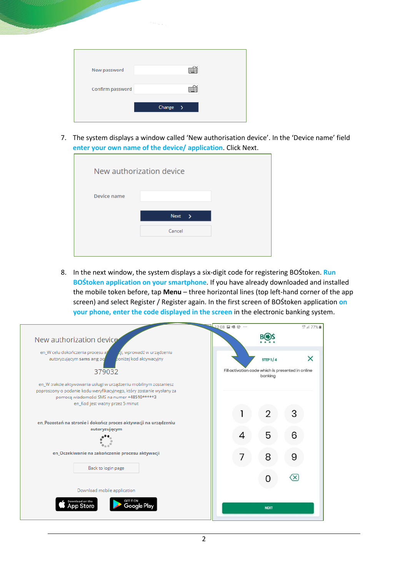| New password     |               |  |
|------------------|---------------|--|
| Confirm password |               |  |
|                  | Change<br>- > |  |
|                  |               |  |

7. The system displays a window called 'New authorisation device'. In the 'Device name' field **enter your own name of the device/ application**. Click Next.

| New authorization device |                       |  |
|--------------------------|-----------------------|--|
| Device name              |                       |  |
|                          | Next<br>$\rightarrow$ |  |
|                          | Cancel                |  |
|                          |                       |  |

8. In the next window, the system displays a six-digit code for registering BOŚtoken. **Run BOŚtoken application on your smartphone**. If you have already downloaded and installed the mobile token before, tap **Menu** – three horizontal lines (top left-hand corner of the app screen) and select Register / Register again. In the first screen of BOŚtoken application **on your phone, enter the code displayed in the screen** in the electronic banking system.

|                                                                                                                                                                                                                            | 12:08 日限 @                                                   | LTE .il 77% |
|----------------------------------------------------------------------------------------------------------------------------------------------------------------------------------------------------------------------------|--------------------------------------------------------------|-------------|
| New authorization device                                                                                                                                                                                                   |                                                              |             |
| en_W celu dokończenia procesu al<br>zii, wprowadź w urządzeniu<br>poniżej kod aktywacyjny<br>autoryzującym sams ang po                                                                                                     | STEP $1/4$                                                   | $\times$    |
| 379032                                                                                                                                                                                                                     | Fill activation code which is presented in online<br>banking |             |
| en_W trakcie aktywowania usługi w urządzeniu mobilnym zostaniesz<br>poproszony o podanie kodu weryfikacyjnego, który zostanie wysłany za<br>pomocą wiadomości SMS na numer +48510*****3<br>en_Kod jest ważny przez 5 minut |                                                              |             |
|                                                                                                                                                                                                                            | 2                                                            |             |
| en_Pozostań na stronie i dokończ proces aktywacji na urządzeniu<br>autoryzującym                                                                                                                                           |                                                              |             |
|                                                                                                                                                                                                                            | 5                                                            |             |
|                                                                                                                                                                                                                            |                                                              |             |
| en_Oczekiwanie na zakończenie procesu aktywacji                                                                                                                                                                            | 8                                                            |             |
| Back to login page                                                                                                                                                                                                         |                                                              |             |
|                                                                                                                                                                                                                            | O                                                            |             |
| Download mobile application                                                                                                                                                                                                |                                                              |             |
| Download on the<br>Gooale Plav<br>pp Store                                                                                                                                                                                 | <b>NEXT</b>                                                  |             |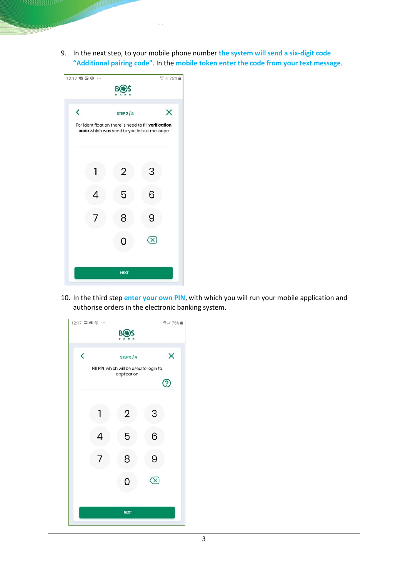9. In the next step, to your mobile phone number **the system will send a six-digit code "Additional pairing code"**. In the **mobile token enter the code from your text message**.

| 12:17 喔日 @ …             |   |                                                                                                     |   | LTE JI 75% |
|--------------------------|---|-----------------------------------------------------------------------------------------------------|---|------------|
|                          |   | В                                                                                                   |   |            |
|                          |   |                                                                                                     |   |            |
| $\overline{\phantom{0}}$ |   | STEP $2/4$                                                                                          |   | X          |
|                          |   | For identification there is need to fill verification<br>code which was send to you in text message |   |            |
|                          |   |                                                                                                     |   |            |
|                          |   |                                                                                                     |   |            |
|                          |   |                                                                                                     |   |            |
|                          | 1 | $\overline{2}$                                                                                      | 3 |            |
|                          |   |                                                                                                     |   |            |
|                          | 4 | 5                                                                                                   | 6 |            |
|                          |   | 8                                                                                                   | 9 |            |
|                          |   |                                                                                                     |   |            |
|                          |   | O                                                                                                   |   |            |
|                          |   |                                                                                                     |   |            |
|                          |   |                                                                                                     |   |            |
|                          |   | <b>NEXT</b>                                                                                         |   |            |
|                          |   |                                                                                                     |   |            |

10. In the third step **enter your own PIN**, with which you will run your mobile application and authorise orders in the electronic banking system.

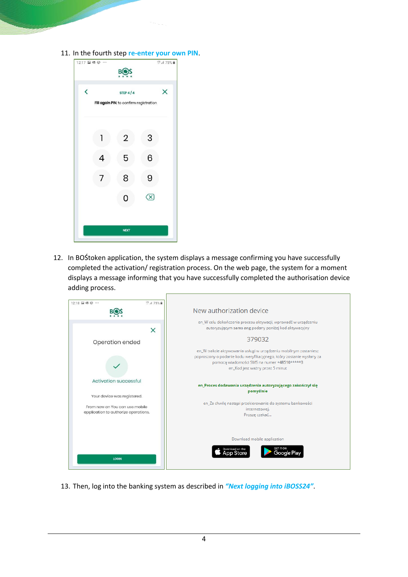11. In the fourth step **re-enter your own PIN**.

| 12:17 国 嗯 @ …            |   | В                                       |   | <b>UTE JIL 75%</b> |
|--------------------------|---|-----------------------------------------|---|--------------------|
|                          |   |                                         |   |                    |
| $\overline{\phantom{a}}$ |   | STEP $4/4$                              |   | $\times$           |
|                          |   | Fill again PIN, to confirm registration |   |                    |
|                          |   |                                         |   |                    |
|                          |   | $\overline{2}$                          | 3 |                    |
|                          |   |                                         |   |                    |
|                          | Δ | 5                                       | 6 |                    |
|                          | 7 | 8                                       | 9 |                    |
|                          |   |                                         |   |                    |
|                          |   | O                                       |   |                    |
|                          |   |                                         |   |                    |
|                          |   | <b>NEXT</b>                             |   |                    |
|                          |   |                                         |   |                    |

12. In BOŚtoken application, the system displays a message confirming you have successfully completed the activation/ registration process. On the web page, the system for a moment displays a message informing that you have successfully completed the authorisation device adding process.



13. Then, log into the banking system as described in *"Next logging into iBOSS24"*.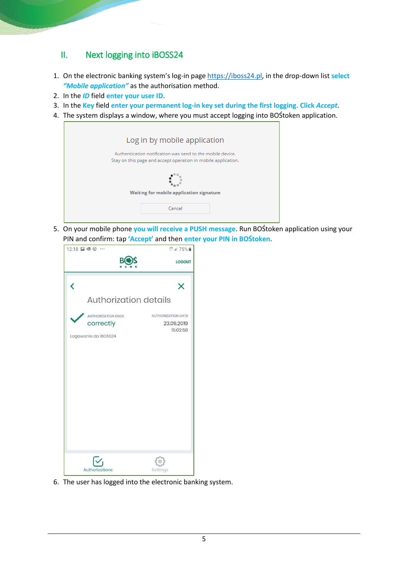## <span id="page-4-0"></span>II. Next logging into iBOSS24

- 1. On the electronic banking system's log-in page [https://iboss24.pl,](https://iboss24.pl/) in the drop-down list **select**  *"Mobile application"* as the authorisation method.
- 2. In the *ID* field **enter your user ID**.
- 3. In the **Key** field **enter your permanent log-in key set during the first logging. Click** *Accept*.
- 4. The system displays a window, where you must accept logging into BOŚtoken application.

| Log in by mobile application                                                                                                |
|-----------------------------------------------------------------------------------------------------------------------------|
| Authentication notification was send to the mobile device.<br>Stay on this page and accept operation in mobile application. |
|                                                                                                                             |
| Waiting for mobile application signature                                                                                    |
| Cancel                                                                                                                      |

5. On your mobile phone **you will receive a PUSH message**. Run BOŚtoken application using your PIN and confirm: tap **'Accept'** and then **enter your PIN in BOŚtoken**.

| 12:18 日眼 @ …                                                   | LTE .il 75%                                         |
|----------------------------------------------------------------|-----------------------------------------------------|
| В                                                              | <b>LOGOUT</b>                                       |
| Ĉ                                                              | X                                                   |
| <b>Authorization details</b>                                   |                                                     |
| <b>AUTHORIZATION ENDS</b><br>correctly<br>Logowanie do iBOSS24 | <b>AUTHORIZATION DATE</b><br>23.09.2019<br>15:02:58 |
| Authorizations                                                 | Settings                                            |

6. The user has logged into the electronic banking system.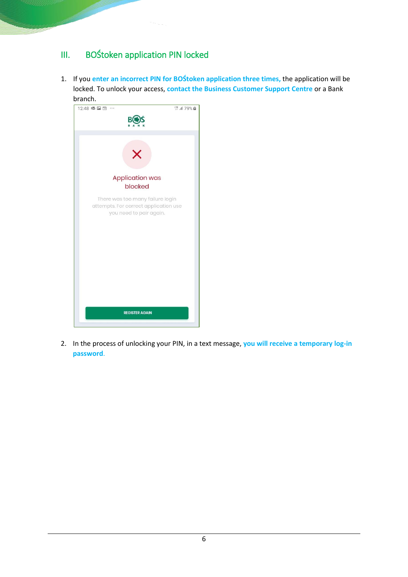# <span id="page-5-0"></span>III. BOŚtoken application PIN locked

1. If you **enter an incorrect PIN for BOŚtoken application three times,** the application will be locked. To unlock your access, **contact the Business Customer Support Centre** or a Bank branch.



2. In the process of unlocking your PIN, in a text message, **you will receive a temporary log-in password**.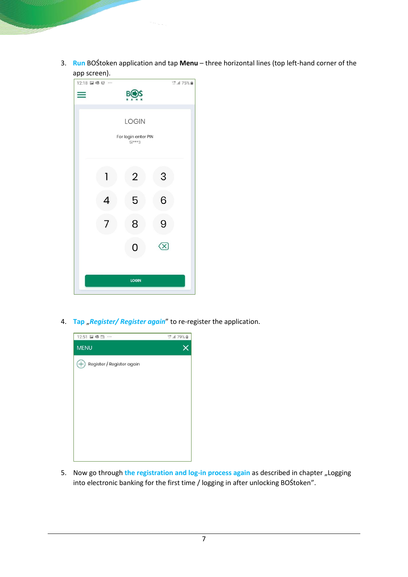3. **Run** BOŚtoken application and tap **Menu** – three horizontal lines (top left-hand corner of the app screen).

| 12:18 2 嗯 @ … |   |                                                 | LTE .ill 75% |  |
|---------------|---|-------------------------------------------------|--------------|--|
|               |   | B(                                              |              |  |
|               |   | <b>LOGIN</b><br>For login enter PIN<br>$51***3$ |              |  |
|               | 1 | $\overline{2}$                                  | 3            |  |
|               | 4 | 5                                               | 6            |  |
|               | 7 | 8                                               | 9            |  |
|               |   | 0                                               |              |  |
|               |   | <b>LOGIN</b>                                    |              |  |

4. **Tap** "Register/ Register again" to re-register the application.



5. Now go through the registration and log-in process again as described in chapter "Logging into electronic banking for the first time / logging in after unlocking BOŚtoken".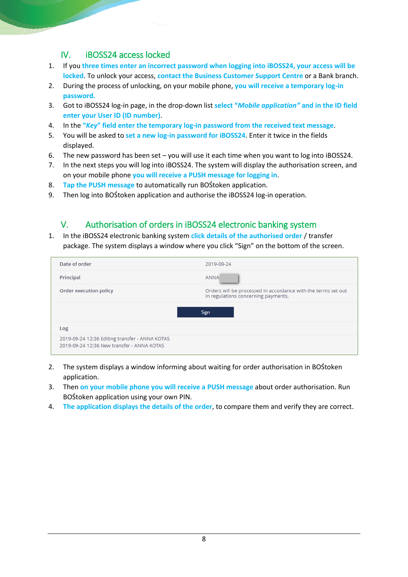## IV. iBOSS24 access locked

- <span id="page-7-0"></span>1. If you **three times enter an incorrect password when logging into iBOSS24, your access will be locked**. To unlock your access, **contact the Business Customer Support Centre** or a Bank branch.
- 2. During the process of unlocking, on your mobile phone, **you will receive a temporary log-in password.**
- 3. Got to iBOSS24 log-in page, in the drop-down list **select "***Mobile application"* **and in the ID field enter your User ID (ID number)**.
- 4. In the **"***Key***" field enter the temporary log-in password from the received text message**.
- 5. You will be asked to **set a new log-in password for iBOSS24**. Enter it twice in the fields displayed.
- 6. The new password has been set you will use it each time when you want to log into iBOSS24.
- 7. In the next steps you will log into iBOSS24. The system will display the authorisation screen, and on your mobile phone **you will receive a PUSH message for logging in**.
- 8. **Tap the PUSH message** to automatically run BOŚtoken application.
- 9. Then log into BOŚtoken application and authorise the iBOSS24 log-in operation.

## <span id="page-7-1"></span>V. Authorisation of orders in iBOSS24 electronic banking system

1. In the iBOSS24 electronic banking system **click details of the authorised order** / transfer package. The system displays a window where you click "Sign" on the bottom of the screen.

| Date of order                                                                                | 2019-09-24                                                                                           |
|----------------------------------------------------------------------------------------------|------------------------------------------------------------------------------------------------------|
| Principal                                                                                    | <b>ANNA</b>                                                                                          |
| Order execution policy                                                                       | Orders will be processed in accordance with the terms set out<br>in regulations concerning payments. |
|                                                                                              | Sign                                                                                                 |
| Log                                                                                          |                                                                                                      |
| 2019-09-24 12:36 Editing transfer - ANNA KOTAS<br>2019-09-24 12:36 New transfer - ANNA KOTAS |                                                                                                      |

- 2. The system displays a window informing about waiting for order authorisation in BOŚtoken application.
- 3. Then **on your mobile phone you will receive a PUSH message** about order authorisation. Run BOŚtoken application using your own PIN.
- 4. **The application displays the details of the order**, to compare them and verify they are correct.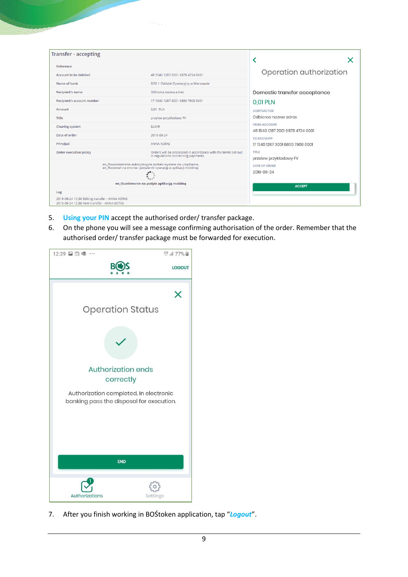| Transfer - accepting                                                                         |                                                                                                                                    |                                                         |
|----------------------------------------------------------------------------------------------|------------------------------------------------------------------------------------------------------------------------------------|---------------------------------------------------------|
| Reference                                                                                    |                                                                                                                                    |                                                         |
| Account to be debited                                                                        | 48 1540 1287 2001 6878 4724 0001                                                                                                   | Operation authorization                                 |
| Name of bank                                                                                 | BOS 1 Oddział Operacyjny w Warszawie                                                                                               |                                                         |
| <b>Recipient's name</b>                                                                      | Odbiorca nazwa adres                                                                                                               | Domestic transfer acceptance                            |
| Recipient's account number                                                                   | 17 1540 1287 3001 6800 7908 0001                                                                                                   | 0.01 PLN                                                |
| Amount                                                                                       | 0.01 PLN                                                                                                                           | CONTRACTOR                                              |
| Title                                                                                        | przelew przykładowy FV                                                                                                             | Odbiorca nazwa adres                                    |
| <b>Clearing system</b>                                                                       | <b>ELIXIR</b>                                                                                                                      | <b>FROM ACCOUNT</b><br>48 1540 1287 2001 6878 4724 0001 |
| Date of order                                                                                | 2019-09-24                                                                                                                         | TO ACCOUNT                                              |
| Principal                                                                                    | <b>ANNA KOTAS</b>                                                                                                                  | 17 1540 1287 3001 6800 7908 0001                        |
| <b>Order execution policy</b>                                                                | Orders will be processed in accordance with the terms set out<br>in regulations concerning payments.                               | <b>TITLE</b><br>przelew przykładowy FV                  |
|                                                                                              | en_Powiadomienie autoryzacyjne zostało wysłane na urządzenie.<br>en_Pozostań na stronie i potwierdź operację w aplikacji mobilnej. | <b>DATE OF ORDER</b><br>2019-09-24                      |
|                                                                                              | en_Oczekiwanie na podpis aplikacją mobilną                                                                                         | <b>ACCEPT</b>                                           |
| Log                                                                                          |                                                                                                                                    |                                                         |
| 2019-09-24 12:36 Editing transfer - ANNA KOTAS<br>2019-09-24 12:36 New transfer - ANNA KOTAS |                                                                                                                                    |                                                         |

- 5. **Using your PIN** accept the authorised order/ transfer package.
- 6. On the phone you will see a message confirming authorisation of the order. Remember that the authorised order/ transfer package must be forwarded for execution.



7. After you finish working in BOŚtoken application, tap "*Logout*".